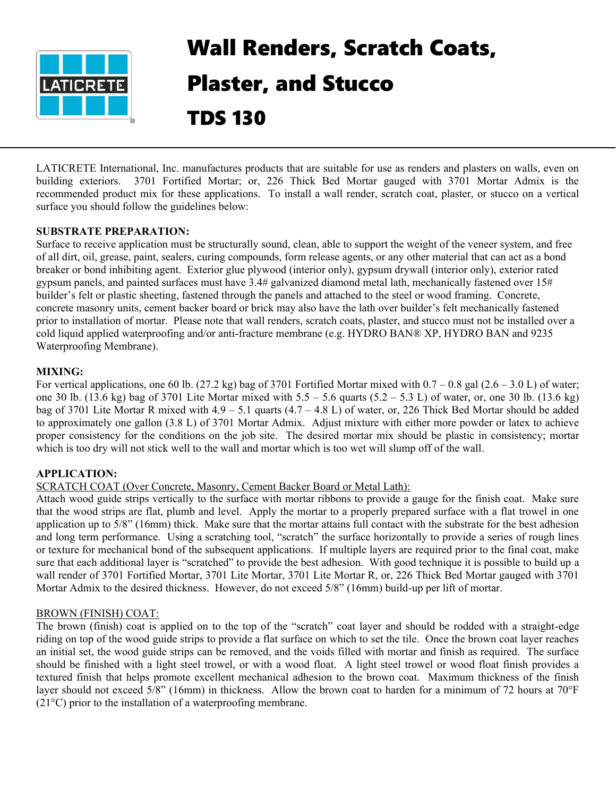

# Wall Renders, Scratch Coats, Plaster, and Stucco TDS 130

LATICRETE International, Inc. manufactures products that are suitable for use as renders and plasters on walls, even on building exteriors. 3701 Fortified Mortar; or, 226 Thick Bed Mortar gauged with 3701 Mortar Admix is the recommended product mix for these applications. To install a wall render, scratch coat, plaster, or stucco on a vertical surface you should follow the guidelines below:

## **SUBSTRATE PREPARATION:**

Surface to receive application must be structurally sound, clean, able to support the weight of the veneer system, and free of all dirt, oil, grease, paint, sealers, curing compounds, form release agents, or any other material that can act as a bond breaker or bond inhibiting agent. Exterior glue plywood (interior only), gypsum drywall (interior only), exterior rated gypsum panels, and painted surfaces must have 3.4# galvanized diamond metal lath, mechanically fastened over 15# builder's felt or plastic sheeting, fastened through the panels and attached to the steel or wood framing. Concrete, concrete masonry units, cement backer board or brick may also have the lath over builder's felt mechanically fastened prior to installation of mortar. Please note that wall renders, scratch coats, plaster, and stucco must not be installed over a cold liquid applied waterproofing and/or anti-fracture membrane (e.g. HYDRO BAN® XP, HYDRO BAN and 9235 Waterproofing Membrane).

## **MIXING:**

For vertical applications, one 60 lb. (27.2 kg) bag of 3701 Fortified Mortar mixed with  $0.7 - 0.8$  gal (2.6 – 3.0 L) of water; one 30 lb.  $(13.6 \text{ kg})$  bag of 3701 Lite Mortar mixed with  $5.5 - 5.6$  quarts  $(5.2 - 5.3 \text{ L})$  of water, or, one 30 lb.  $(13.6 \text{ kg})$ bag of 3701 Lite Mortar R mixed with 4.9 – 5.1 quarts (4.7 – 4.8 L) of water, or, 226 Thick Bed Mortar should be added to approximately one gallon (3.8 L) of 3701 Mortar Admix. Adjust mixture with either more powder or latex to achieve proper consistency for the conditions on the job site. The desired mortar mix should be plastic in consistency; mortar which is too dry will not stick well to the wall and mortar which is too wet will slump off of the wall.

## **APPLICATION:**

#### SCRATCH COAT (Over Concrete, Masonry, Cement Backer Board or Metal Lath):

Attach wood guide strips vertically to the surface with mortar ribbons to provide a gauge for the finish coat. Make sure that the wood strips are flat, plumb and level. Apply the mortar to a properly prepared surface with a flat trowel in one application up to 5/8" (16mm) thick. Make sure that the mortar attains full contact with the substrate for the best adhesion and long term performance. Using a scratching tool, "scratch" the surface horizontally to provide a series of rough lines or texture for mechanical bond of the subsequent applications. If multiple layers are required prior to the final coat, make sure that each additional layer is "scratched" to provide the best adhesion. With good technique it is possible to build up a wall render of 3701 Fortified Mortar, 3701 Lite Mortar, 3701 Lite Mortar R, or, 226 Thick Bed Mortar gauged with 3701 Mortar Admix to the desired thickness. However, do not exceed 5/8" (16mm) build-up per lift of mortar.

#### BROWN (FINISH) COAT:

The brown (finish) coat is applied on to the top of the "scratch" coat layer and should be rodded with a straight-edge riding on top of the wood guide strips to provide a flat surface on which to set the tile. Once the brown coat layer reaches an initial set, the wood guide strips can be removed, and the voids filled with mortar and finish as required. The surface should be finished with a light steel trowel, or with a wood float. A light steel trowel or wood float finish provides a textured finish that helps promote excellent mechanical adhesion to the brown coat. Maximum thickness of the finish layer should not exceed 5/8" (16mm) in thickness. Allow the brown coat to harden for a minimum of 72 hours at 70°F (21°C) prior to the installation of a waterproofing membrane.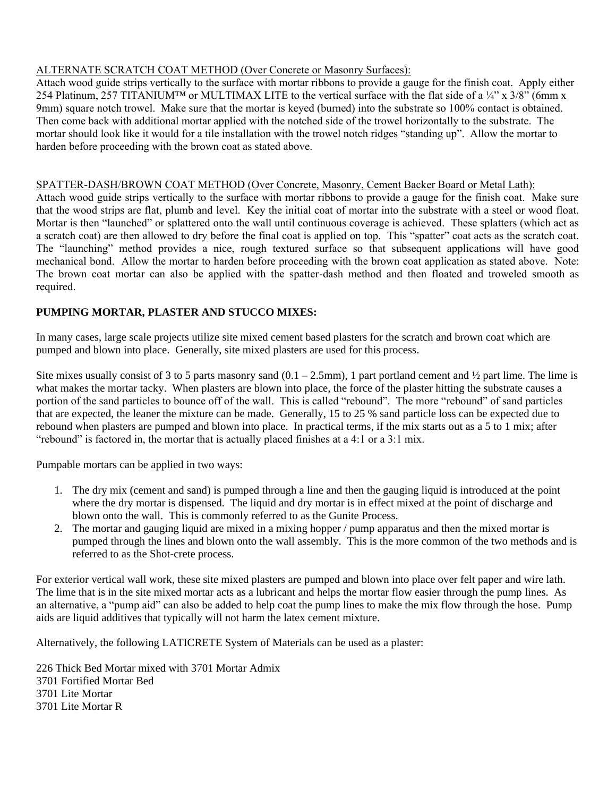## ALTERNATE SCRATCH COAT METHOD (Over Concrete or Masonry Surfaces):

Attach wood guide strips vertically to the surface with mortar ribbons to provide a gauge for the finish coat. Apply either 254 Platinum, 257 TITANIUM<sup>™</sup> or MULTIMAX LITE to the vertical surface with the flat side of a ¼" x 3/8" (6mm x 9mm) square notch trowel. Make sure that the mortar is keyed (burned) into the substrate so 100% contact is obtained. Then come back with additional mortar applied with the notched side of the trowel horizontally to the substrate. The mortar should look like it would for a tile installation with the trowel notch ridges "standing up". Allow the mortar to harden before proceeding with the brown coat as stated above.

## SPATTER-DASH/BROWN COAT METHOD (Over Concrete, Masonry, Cement Backer Board or Metal Lath):

Attach wood guide strips vertically to the surface with mortar ribbons to provide a gauge for the finish coat. Make sure that the wood strips are flat, plumb and level. Key the initial coat of mortar into the substrate with a steel or wood float. Mortar is then "launched" or splattered onto the wall until continuous coverage is achieved. These splatters (which act as a scratch coat) are then allowed to dry before the final coat is applied on top. This "spatter" coat acts as the scratch coat. The "launching" method provides a nice, rough textured surface so that subsequent applications will have good mechanical bond. Allow the mortar to harden before proceeding with the brown coat application as stated above. Note: The brown coat mortar can also be applied with the spatter-dash method and then floated and troweled smooth as required.

# **PUMPING MORTAR, PLASTER AND STUCCO MIXES:**

In many cases, large scale projects utilize site mixed cement based plasters for the scratch and brown coat which are pumped and blown into place. Generally, site mixed plasters are used for this process.

Site mixes usually consist of 3 to 5 parts masonry sand  $(0.1 - 2.5 \text{mm})$ , 1 part portland cement and ½ part lime. The lime is what makes the mortar tacky. When plasters are blown into place, the force of the plaster hitting the substrate causes a portion of the sand particles to bounce off of the wall. This is called "rebound". The more "rebound" of sand particles that are expected, the leaner the mixture can be made. Generally, 15 to 25 % sand particle loss can be expected due to rebound when plasters are pumped and blown into place. In practical terms, if the mix starts out as a 5 to 1 mix; after "rebound" is factored in, the mortar that is actually placed finishes at a 4:1 or a 3:1 mix.

Pumpable mortars can be applied in two ways:

- 1. The dry mix (cement and sand) is pumped through a line and then the gauging liquid is introduced at the point where the dry mortar is dispensed. The liquid and dry mortar is in effect mixed at the point of discharge and blown onto the wall. This is commonly referred to as the Gunite Process.
- 2. The mortar and gauging liquid are mixed in a mixing hopper / pump apparatus and then the mixed mortar is pumped through the lines and blown onto the wall assembly. This is the more common of the two methods and is referred to as the Shot-crete process.

For exterior vertical wall work, these site mixed plasters are pumped and blown into place over felt paper and wire lath. The lime that is in the site mixed mortar acts as a lubricant and helps the mortar flow easier through the pump lines. As an alternative, a "pump aid" can also be added to help coat the pump lines to make the mix flow through the hose. Pump aids are liquid additives that typically will not harm the latex cement mixture.

Alternatively, the following LATICRETE System of Materials can be used as a plaster:

226 Thick Bed Mortar mixed with 3701 Mortar Admix 3701 Fortified Mortar Bed 3701 Lite Mortar 3701 Lite Mortar R